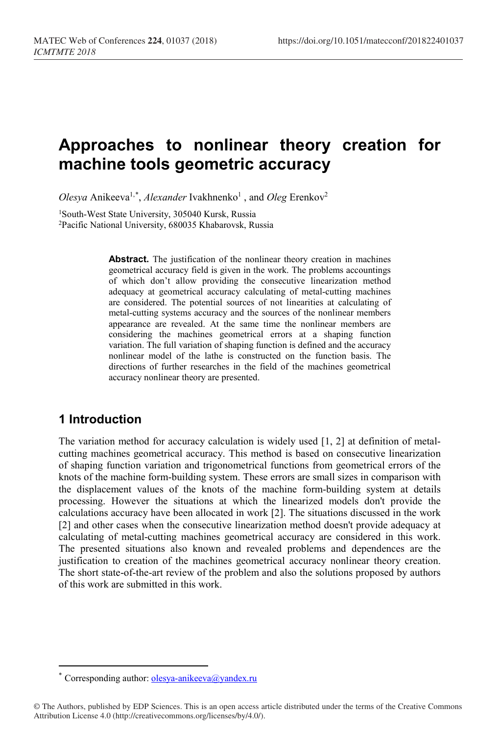# **Approaches to nonlinear theory creation for machine tools geometric accuracy**

*Olesya* Anikeeva<sup>1,[\\*](#page-0-0)</sup>, *Alexander* Ivakhnenko<sup>1</sup>, and *Oleg* Erenkov<sup>2</sup>

<sup>1</sup>South-West State University, 305040 Kursk, Russia 2Pacific National University, 680035 Khabarovsk, Russia

> **Abstract.** The justification of the nonlinear theory creation in machines geometrical accuracy field is given in the work. The problems accountings of which don't allow providing the consecutive linearization method adequacy at geometrical accuracy calculating of metal-cutting machines are considered. The potential sources of not linearities at calculating of metal-cutting systems accuracy and the sources of the nonlinear members appearance are revealed. At the same time the nonlinear members are considering the machines geometrical errors at a shaping function variation. The full variation of shaping function is defined and the accuracy nonlinear model of the lathe is constructed on the function basis. The directions of further researches in the field of the machines geometrical accuracy nonlinear theory are presented.

## **1 Introduction**

 $\overline{a}$ 

The variation method for accuracy calculation is widely used [1, 2] at definition of metalcutting machines geometrical accuracy. This method is based on consecutive linearization of shaping function variation and trigonometrical functions from geometrical errors of the knots of the machine form-building system. These errors are small sizes in comparison with the displacement values of the knots of the machine form-building system at details processing. However the situations at which the linearized models don't provide the calculations accuracy have been allocated in work [2]. The situations discussed in the work [2] and other cases when the consecutive linearization method doesn't provide adequacy at calculating of metal-cutting machines geometrical accuracy are considered in this work. The presented situations also known and revealed problems and dependences are the justification to creation of the machines geometrical accuracy nonlinear theory creation. The short state-of-the-art review of the problem and also the solutions proposed by authors of this work are submitted in this work.

Corresponding author: [olesya-anikeeva@yandex.ru](mailto:olesya-anikeeva@yandex.ru)

<span id="page-0-0"></span><sup>©</sup> The Authors, published by EDP Sciences. This is an open access article distributed under the terms of the Creative Commons Attribution License 4.0 (http://creativecommons.org/licenses/by/4.0/).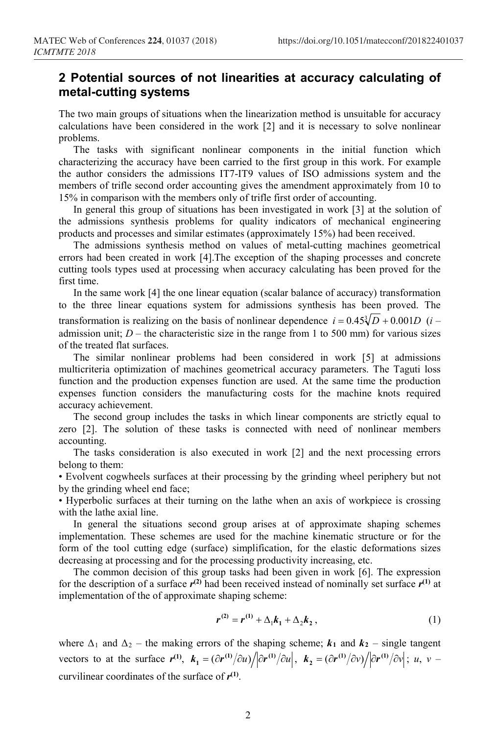## **2 Potential sources of not linearities at accuracy calculating of metal-cutting systems**

The two main groups of situations when the linearization method is unsuitable for accuracy calculations have been considered in the work [2] and it is necessary to solve nonlinear problems.

The tasks with significant nonlinear components in the initial function which characterizing the accuracy have been carried to the first group in this work. For example the author considers the admissions IT7-IT9 values of ISO admissions system and the members of trifle second order accounting gives the amendment approximately from 10 to 15% in comparison with the members only of trifle first order of accounting.

In general this group of situations has been investigated in work [3] at the solution of the admissions synthesis problems for quality indicators of mechanical engineering products and processes and similar estimates (approximately 15%) had been received.

The admissions synthesis method on values of metal-cutting machines geometrical errors had been created in work [4].The exception of the shaping processes and concrete cutting tools types used at processing when accuracy calculating has been proved for the first time.

In the same work [4] the one linear equation (scalar balance of accuracy) transformation to the three linear equations system for admissions synthesis has been proved. The transformation is realizing on the basis of nonlinear dependence  $i = 0.45\sqrt[3]{D} + 0.001D$  (*i* – admission unit;  $D$  – the characteristic size in the range from 1 to 500 mm) for various sizes of the treated flat surfaces.

The similar nonlinear problems had been considered in work [5] at admissions multicriteria optimization of machines geometrical accuracy parameters. The Taguti loss function and the production expenses function are used. At the same time the production expenses function considers the manufacturing costs for the machine knots required accuracy achievement.

The second group includes the tasks in which linear components are strictly equal to zero [2]. The solution of these tasks is connected with need of nonlinear members accounting.

The tasks consideration is also executed in work [2] and the next processing errors belong to them:

• Evolvent cogwheels surfaces at their processing by the grinding wheel periphery but not by the grinding wheel end face;

• Hyperbolic surfaces at their turning on the lathe when an axis of workpiece is crossing with the lathe axial line.

In general the situations second group arises at of approximate shaping schemes implementation. These schemes are used for the machine kinematic structure or for the form of the tool cutting edge (surface) simplification, for the elastic deformations sizes decreasing at processing and for the processing productivity increasing, etc.

The common decision of this group tasks had been given in work [6]. The expression for the description of a surface  $r^{(2)}$  had been received instead of nominally set surface  $r^{(1)}$  at implementation of the of approximate shaping scheme:

$$
r^{(2)} = r^{(1)} + \Delta_1 k_1 + \Delta_2 k_2 , \qquad (1)
$$

where  $\Delta_1$  and  $\Delta_2$  – the making errors of the shaping scheme;  $k_1$  and  $k_2$  – single tangent vectors to at the surface  $r^{(1)}$ ,  $k_1 = (\partial r^{(1)}/\partial u)/(\partial r^{(1)}/\partial u)$ ,  $k_2 = (\partial r^{(1)}/\partial v)/(\partial r^{(1)}/\partial v)$ ; u, v – curvilinear coordinates of the surface of *r***(1)**.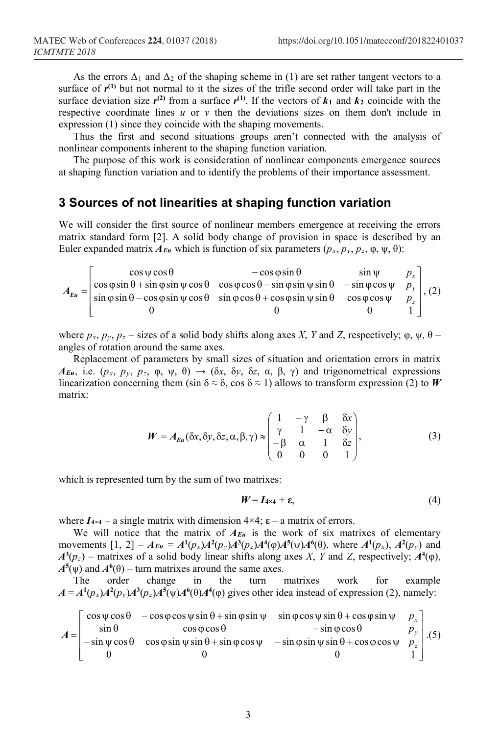As the errors  $\Delta_1$  and  $\Delta_2$  of the shaping scheme in (1) are set rather tangent vectors to a surface of  $r^{(1)}$  but not normal to it the sizes of the trifle second order will take part in the surface deviation size  $r^{(2)}$  from a surface  $r^{(1)}$ . If the vectors of  $k_1$  and  $k_2$  coincide with the respective coordinate lines  $u$  or  $v$  then the deviations sizes on them don't include in expression (1) since they coincide with the shaping movements.

Thus the first and second situations groups aren't connected with the analysis of nonlinear components inherent to the shaping function variation.

The purpose of this work is consideration of nonlinear components emergence sources at shaping function variation and to identify the problems of their importance assessment.

## **3 Sources of not linearities at shaping function variation**

We will consider the first source of nonlinear members emergence at receiving the errors matrix standard form [2]. A solid body change of provision in space is described by an Euler expanded matrix  $A_{Eu}$  which is function of six parameters  $(p_x, p_y, p_z, \varphi, \psi, \theta)$ :

 $\overline{\phantom{a}}$  $\overline{\phantom{a}}$  $\overline{\phantom{a}}$  $\overline{\phantom{a}}$  $\overline{\phantom{a}}$  $\overline{\phantom{a}}$  $\mathsf{I}$  $\mathbf{r}$  $\mathbb{I}$  $\mathbf{r}$ L  $\mathbf{r}$  $\varphi$ sin  $\theta$  – cos  $\varphi$  sin  $\psi$  cos  $\theta$  = sin  $\varphi$  cos  $\varphi$   $\varphi$  sin  $\theta$  = cos  $\varphi$  cos  $\psi$  $\varphi$ sin  $\theta$  + sin  $\varphi$ sin  $\psi$  cos  $\theta$  = cos  $\varphi$  cos  $\theta$  – sin  $\varphi$  sin  $\theta$  – sin  $\varphi$  cos  $\psi$  $\psi \cos \theta$  –  $\cos \phi \sin \theta$  sin  $\psi$ =  $0$  0 1  $\sin \varphi \sin \theta - \cos \varphi \sin \psi \cos \theta - \sin \varphi \cos \theta + \cos \varphi \sin \psi \sin \theta \quad \cos \varphi \cos \theta$  $\cos \varphi \sin \theta + \sin \varphi \sin \psi \cos \theta$   $\cos \varphi \cos \theta - \sin \varphi \sin \psi \sin \theta$   $\sin \varphi \cos \varphi$  $\cos \psi \cos \theta$   $-\cos \phi \sin \theta$   $\sin$ *z y x p p p*  $A_{Eu} = \begin{bmatrix} \cos \phi \sin \phi & \sin \phi \sin \phi & \cos \phi & \cos \phi \cos \phi & \sin \phi \sin \phi & \sin \phi \cos \phi & \sin \phi \cos \phi & \sin \phi \sin \phi & \cos \phi \sin \phi & \cos \phi \cos \phi & \sin \phi \cos \phi & \sin \phi \cos \phi & \sin \phi \cos \phi & \sin \phi \cos \phi & \sin \phi \cos \phi & \sin \phi \cos \phi & \sin \phi \cos \phi & \sin \phi \cos \phi & \sin \phi \cos \phi & \sin \phi \cos \phi & \sin \phi \cos \phi & \sin \phi \cos \phi & \sin \phi \cos \phi & \sin \phi \cos$ 

where  $p_x$ ,  $p_y$ ,  $p_z$  – sizes of a solid body shifts along axes *X*, *Y* and *Z*, respectively;  $\varphi$ ,  $\psi$ ,  $\theta$  – angles of rotation around the same axes.

Replacement of parameters by small sizes of situation and orientation errors in matrix *AEu*, i.e. (*p<sub>x</sub>*, *p<sub>y</sub>*, *p<sub>z</sub>*, φ, ψ, θ)  $\rightarrow$  (δ*x*, δ*y*, δ*z*, α, β, γ) and trigonometrical expressions linearization concerning them (sin  $\delta \approx \delta$ , cos  $\delta \approx 1$ ) allows to transform expression (2) to *W* matrix:

$$
W = A_{Eu}(\delta x, \delta y, \delta z, \alpha, \beta, \gamma) \approx \begin{pmatrix} 1 & -\gamma & \beta & \delta x \\ \gamma & 1 & -\alpha & \delta y \\ -\beta & \alpha & 1 & \delta z \\ 0 & 0 & 0 & 1 \end{pmatrix},
$$
(3)

which is represented turn by the sum of two matrixes:

$$
W = I_{4 \times 4} + \varepsilon, \tag{4}
$$

where  $I_{4\times4}$  – a single matrix with dimension  $4\times4$ ;  $\varepsilon$  – a matrix of errors.

We will notice that the matrix of  $A_{Eu}$  is the work of six matrixes of elementary movements  $[1, 2] - A_{Eu} = A^1(p_x)A^2(p_y)A^3(p_z)A^4(\phi)A^5(\psi)A^6(\theta)$ , where  $A^1(p_x)$ ,  $A^2(p_y)$  and  $A^{3}(p_{z})$  – matrixes of a solid body linear shifts along axes *X*, *Y* and *Z*, respectively;  $A^{4}(\varphi)$ ,  $A^5(\psi)$  and  $A^6(\theta)$  – turn matrixes around the same axes.

The order change in the turn matrixes work for example  $A = A^1(p_x)A^2(p_y)A^3(p_z)A^5(\psi)A^6(\theta)A^4(\phi)$  gives other idea instead of expression (2), namely:

$$
A = \begin{bmatrix} \cos \psi \cos \theta & -\cos \phi \cos \psi \sin \theta + \sin \phi \sin \psi & \sin \phi \cos \psi \sin \theta + \cos \phi \sin \psi & p_x \\ \sin \theta & \cos \phi \cos \theta & -\sin \phi \cos \theta & p_y \\ -\sin \psi \cos \theta & \cos \phi \sin \psi \sin \theta + \sin \phi \cos \psi & -\sin \phi \sin \psi \sin \theta + \cos \phi \cos \psi & p_z \\ 0 & 0 & 1 \end{bmatrix} . (5)
$$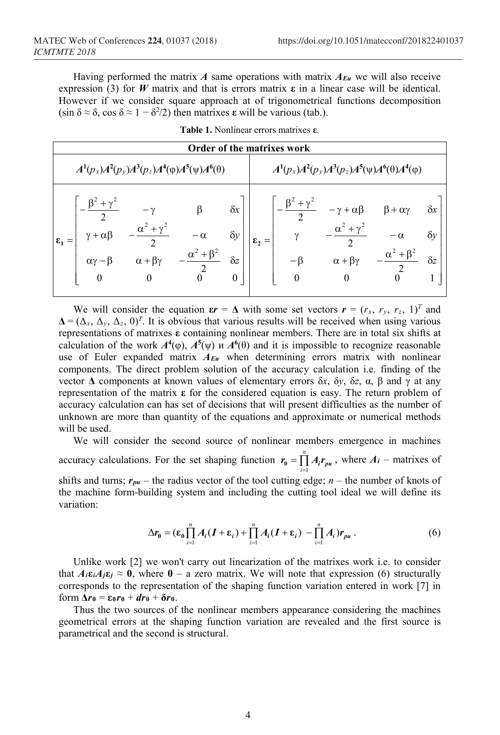Having performed the matrix *A* same operations with matrix  $A_{Eu}$  we will also receive expression (3) for *W* matrix and that is errors matrix **ε** in a linear case will be identical. However if we consider square approach at of trigonometrical functions decomposition  $(\sin \delta \approx \delta, \cos \delta \approx 1 - \delta^2/2)$  then matrixes **ε** will be various (tab.).

| Order of the matrixes work                                 |                                                 |                                                     |                                                              |                                                            |                                                         |                                            |                                                                                                     |           |                          |
|------------------------------------------------------------|-------------------------------------------------|-----------------------------------------------------|--------------------------------------------------------------|------------------------------------------------------------|---------------------------------------------------------|--------------------------------------------|-----------------------------------------------------------------------------------------------------|-----------|--------------------------|
| $A^1(p_x)A^2(p_y)A^3(p_z)A^4(\varphi)A^5(\psi)A^6(\theta)$ |                                                 |                                                     |                                                              |                                                            | $A^1(p_x)A^2(p_y)A^3(p_z)A^5(\psi)A^6(\theta)A^4(\phi)$ |                                            |                                                                                                     |           |                          |
| $\varepsilon_1 =$                                          | $\gamma + \alpha \beta$<br>$\alpha\gamma-\beta$ | $-\gamma$<br>$\alpha+\beta\gamma$<br>$\overline{0}$ | $\beta$<br>$-\alpha$<br>$-\frac{\alpha^2}{\alpha^2}+\beta^2$ | $\delta x$  <br>$\delta y$<br>$\delta z$<br>$\overline{0}$ | $\epsilon$ ,                                            | $\frac{1}{\gamma}$<br>$-\beta$<br>$\theta$ | $-\frac{\beta^2+\gamma^2}{2}$ $-\gamma+\alpha\beta$ $\beta+\alpha\gamma$<br>$\alpha + \beta \gamma$ | $-\alpha$ | $\delta y$<br>$\delta z$ |

**Table 1.** Nonlinear errors matrixes **ε**.

We will consider the equation  $\boldsymbol{\varepsilon} = \boldsymbol{\Delta}$  with some set vectors  $\boldsymbol{r} = (r_x, r_y, r_z, 1)^T$  and  $\Delta = (\Delta_x, \Delta_y, \Delta_z, 0)^T$ . It is obvious that various results will be received when using various representations of matrixes **ε** containing nonlinear members. There are in total six shifts at calculation of the work  $A^4(\varphi)$ ,  $A^5(\psi)$  u  $A^6(\theta)$  and it is impossible to recognize reasonable use of Euler expanded matrix *AEu* when determining errors matrix with nonlinear components. The direct problem solution of the accuracy calculation i.e. finding of the vector **Δ** components at known values of elementary errors δ*x*, δ*y*, δ*z*, α, β and γ at any representation of the matrix **ε** for the considered equation is easy. The return problem of accuracy calculation can has set of decisions that will present difficulties as the number of unknown are more than quantity of the equations and approximate or numerical methods will be used.

We will consider the second source of nonlinear members emergence in machines accuracy calculations. For the set shaping function  $r_0 = \prod_{i=1}^n$  $r_0 = \prod_{i=1} A_i r_{\text{pu}}$ , where  $A_i$  – matrixes of shifts and turns;  $r_{pu}$  – the radius vector of the tool cutting edge;  $n$  – the number of knots of the machine form-building system and including the cutting tool ideal we will define its variation:

$$
\Delta r_0 = (\varepsilon_0 \prod_{i=1}^n A_i (I + \varepsilon_i) + \prod_{i=1}^n A_i (I + \varepsilon_i) - \prod_{i=1}^n A_i) r_{\rho u} . \qquad (6)
$$

Unlike work [2] we won't carry out linearization of the matrixes work i.e. to consider that  $A_i \varepsilon_i A_j \varepsilon_j \approx 0$ , where  $0 - a$  zero matrix. We will note that expression (6) structurally corresponds to the representation of the shaping function variation entered in work [7] in form **Δ***r***<sup>0</sup>** = **ε0***r***<sup>0</sup>** + *dr***<sup>0</sup>** + **δ***r***0**.

Thus the two sources of the nonlinear members appearance considering the machines geometrical errors at the shaping function variation are revealed and the first source is parametrical and the second is structural.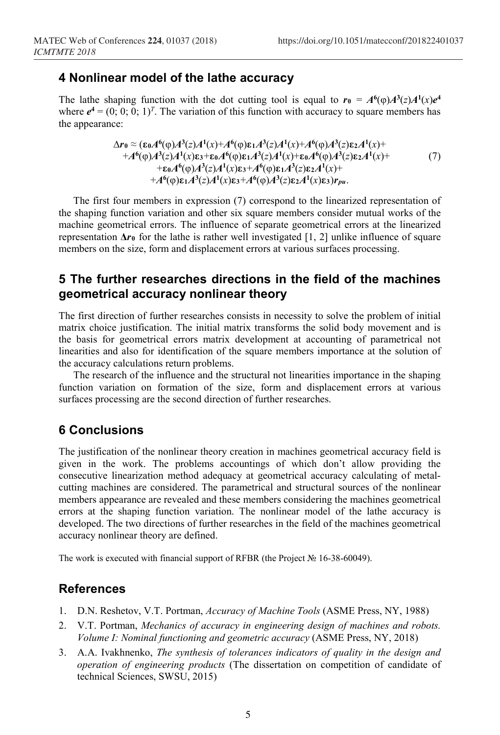#### **4 Nonlinear model of the lathe accuracy**

The lathe shaping function with the dot cutting tool is equal to  $r_0 = A^6(\phi)A^3(z)A^1(x)e^4$ where  $e^4 = (0, 0, 0, 1)^T$ . The variation of this function with accuracy to square members has the appearance:

$$
\Delta r_0 \approx (\varepsilon_0 A^6(\varphi) A^3(z) A^1(x) + A^6(\varphi) \varepsilon_1 A^3(z) A^1(x) + A^6(\varphi) A^3(z) \varepsilon_2 A^1(x) ++ A^6(\varphi) A^3(z) A^1(x) \varepsilon_3 + \varepsilon_0 A^6(\varphi) \varepsilon_1 A^3(z) A^1(x) + \varepsilon_0 A^6(\varphi) A^3(z) \varepsilon_2 A^1(x) ++ \varepsilon_0 A^6(\varphi) A^3(z) A^1(x) \varepsilon_3 + A^6(\varphi) \varepsilon_1 A^3(z) \varepsilon_2 A^1(x) ++ A^6(\varphi) \varepsilon_1 A^3(z) A^1(x) \varepsilon_3 + A^6(\varphi) A^3(z) \varepsilon_2 A^1(x) \varepsilon_3) r_{pu}.
$$
 (7)

The first four members in expression (7) correspond to the linearized representation of the shaping function variation and other six square members consider mutual works of the machine geometrical errors. The influence of separate geometrical errors at the linearized representation  $\Delta r_0$  for the lathe is rather well investigated [1, 2] unlike influence of square members on the size, form and displacement errors at various surfaces processing.

## **5 The further researches directions in the field of the machines geometrical accuracy nonlinear theory**

The first direction of further researches consists in necessity to solve the problem of initial matrix choice justification. The initial matrix transforms the solid body movement and is the basis for geometrical errors matrix development at accounting of parametrical not linearities and also for identification of the square members importance at the solution of the accuracy calculations return problems.

The research of the influence and the structural not linearities importance in the shaping function variation on formation of the size, form and displacement errors at various surfaces processing are the second direction of further researches.

## **6 Conclusions**

The justification of the nonlinear theory creation in machines geometrical accuracy field is given in the work. The problems accountings of which don't allow providing the consecutive linearization method adequacy at geometrical accuracy calculating of metalcutting machines are considered. The parametrical and structural sources of the nonlinear members appearance are revealed and these members considering the machines geometrical errors at the shaping function variation. The nonlinear model of the lathe accuracy is developed. The two directions of further researches in the field of the machines geometrical accuracy nonlinear theory are defined.

The work is executed with financial support of RFBR (the Project № 16-38-60049).

#### **References**

- 1. D.N. Reshetov, V.T. Portman, *Accuracy of Machine Tools* (ASME Press, NY, 1988)
- 2. V.T. Portman, *Mechanics of accuracy in engineering design of machines and robots. Volume I: Nominal functioning and geometric accuracy* (ASME Press, NY, 2018)
- 3. A.A. Ivakhnenko, *The synthesis of tolerances indicators of quality in the design and operation of engineering products* (The dissertation on competition of candidate of technical Sciences, SWSU, 2015)